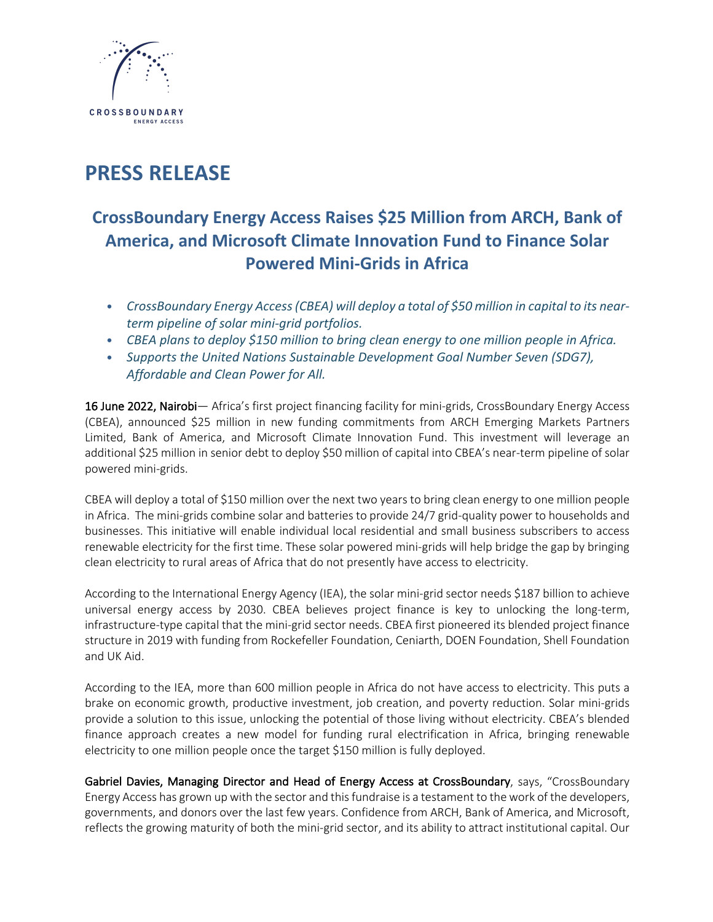

# **PRESS RELEASE**

# **CrossBoundary Energy Access Raises \$25 Million from ARCH, Bank of America, and Microsoft Climate Innovation Fund to Finance Solar Powered Mini-Grids in Africa**

- *• CrossBoundary Energy Access(CBEA) will deploy a total of \$50 million in capital to its nearterm pipeline of solar mini-grid portfolios.*
- *• CBEA plans to deploy \$150 million to bring clean energy to one million people in Africa.*
- *• Supports the United Nations Sustainable Development Goal Number Seven (SDG7), Affordable and Clean Power for All.*

16 June 2022, Nairobi- Africa's first project financing facility for mini-grids, CrossBoundary Energy Access (CBEA), announced \$25 million in new funding commitments from ARCH Emerging Markets Partners Limited, Bank of America, and Microsoft Climate Innovation Fund. This investment will leverage an additional \$25 million in senior debt to deploy \$50 million of capital into CBEA's near-term pipeline of solar powered mini-grids.

CBEA will deploy a total of \$150 million over the next two years to bring clean energy to one million people in Africa. The mini-grids combine solar and batteries to provide 24/7 grid-quality power to households and businesses. This initiative will enable individual local residential and small business subscribers to access renewable electricity for the first time. These solar powered mini-grids will help bridge the gap by bringing clean electricity to rural areas of Africa that do not presently have access to electricity.

According to the International Energy Agency (IEA), the solar mini-grid sector needs \$187 billion to achieve universal energy access by 2030. CBEA believes project finance is key to unlocking the long-term, infrastructure-type capital that the mini-grid sector needs. CBEA first pioneered its blended project finance structure in 2019 with funding from Rockefeller Foundation, Ceniarth, DOEN Foundation, Shell Foundation and UK Aid.

According to the IEA, more than 600 million people in Africa do not have access to electricity. This puts a brake on economic growth, productive investment, job creation, and poverty reduction. Solar mini-grids provide a solution to this issue, unlocking the potential of those living without electricity. CBEA's blended finance approach creates a new model for funding rural electrification in Africa, bringing renewable electricity to one million people once the target \$150 million is fully deployed.

Gabriel Davies, Managing Director and Head of Energy Access at CrossBoundary, says, "CrossBoundary Energy Access has grown up with the sector and this fundraise is a testament to the work of the developers, governments, and donors over the last few years. Confidence from ARCH, Bank of America, and Microsoft, reflects the growing maturity of both the mini-grid sector, and its ability to attract institutional capital. Our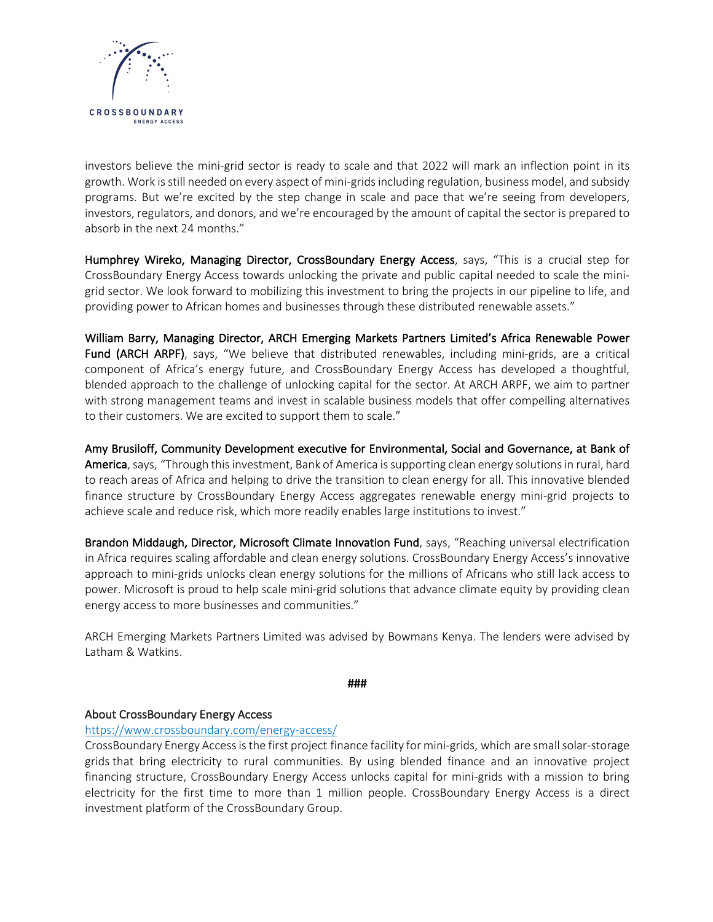

investors believe the mini-grid sector is ready to scale and that 2022 will mark an inflection point in its growth. Work isstill needed on every aspect of mini-gridsincluding regulation, business model, and subsidy programs. But we're excited by the step change in scale and pace that we're seeing from developers, investors, regulators, and donors, and we're encouraged by the amount of capital the sector is prepared to absorb in the next 24 months."

Humphrey Wireko, Managing Director, CrossBoundary Energy Access, says, "This is a crucial step for CrossBoundary Energy Access towards unlocking the private and public capital needed to scale the minigrid sector. We look forward to mobilizing this investment to bring the projects in our pipeline to life, and providing power to African homes and businesses through these distributed renewable assets."

William Barry, Managing Director, ARCH Emerging Markets Partners Limited's Africa Renewable Power Fund (ARCH ARPF), says, "We believe that distributed renewables, including mini-grids, are a critical component of Africa's energy future, and CrossBoundary Energy Access has developed a thoughtful, blended approach to the challenge of unlocking capital for the sector. At ARCH ARPF, we aim to partner with strong management teams and invest in scalable business models that offer compelling alternatives to their customers. We are excited to support them to scale."

Amy Brusiloff, Community Development executive for Environmental, Social and Governance, at Bank of America, says, "Through this investment, Bank of America is supporting clean energy solutions in rural, hard to reach areas of Africa and helping to drive the transition to clean energy for all. This innovative blended finance structure by CrossBoundary Energy Access aggregates renewable energy mini-grid projects to achieve scale and reduce risk, which more readily enables large institutions to invest."

Brandon Middaugh, Director, Microsoft Climate Innovation Fund, says, "Reaching universal electrification in Africa requires scaling affordable and clean energy solutions. CrossBoundary Energy Access's innovative approach to mini-grids unlocks clean energy solutions for the millions of Africans who still lack access to power. Microsoft is proud to help scale mini-grid solutions that advance climate equity by providing clean energy access to more businesses and communities."

ARCH Emerging Markets Partners Limited was advised by Bowmans Kenya. The lenders were advised by Latham & Watkins.

###

#### About CrossBoundary Energy Access

#### https://www.crossboundary.com/energy-access/

CrossBoundary Energy Access is the first project finance facility for mini-grids, which are small solar-storage grids that bring electricity to rural communities. By using blended finance and an innovative project financing structure, CrossBoundary Energy Access unlocks capital for mini-grids with a mission to bring electricity for the first time to more than 1 million people. CrossBoundary Energy Access is a direct investment platform of the CrossBoundary Group.